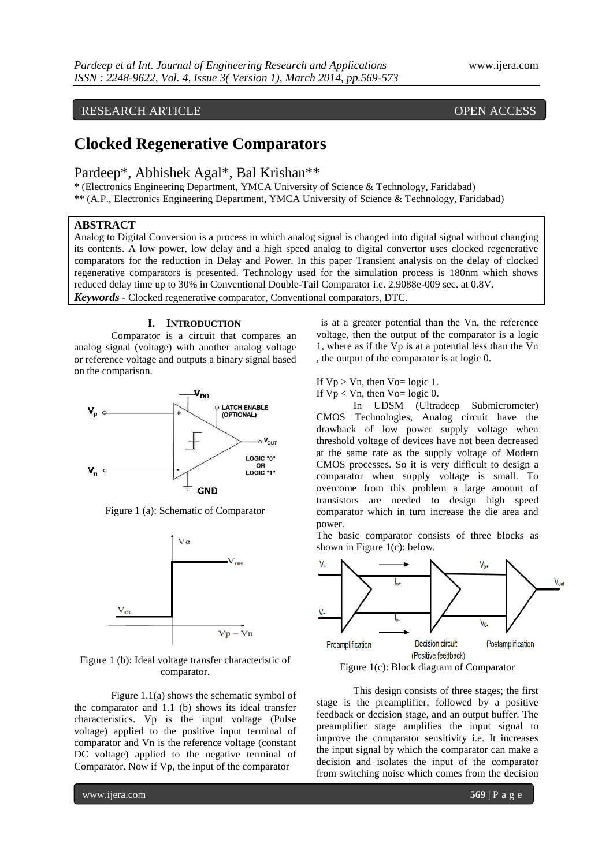## RESEARCH ARTICLE OPEN ACCESS

# **Clocked Regenerative Comparators**

Pardeep\*, Abhishek Agal\*, Bal Krishan\*\*

\* (Electronics Engineering Department, YMCA University of Science & Technology, Faridabad) \*\* (A.P., Electronics Engineering Department, YMCA University of Science & Technology, Faridabad)

## **ABSTRACT**

Analog to Digital Conversion is a process in which analog signal is changed into digital signal without changing its contents. A low power, low delay and a high speed analog to digital convertor uses clocked regenerative comparators for the reduction in Delay and Power. In this paper Transient analysis on the delay of clocked regenerative comparators is presented. Technology used for the simulation process is 180nm which shows reduced delay time up to 30% in Conventional Double-Tail Comparator i.e. 2.9088e-009 sec. at 0.8V. *Keywords* **-** Clocked regenerative comparator, Conventional comparators, DTC.

## **I. INTRODUCTION**

Comparator is a circuit that compares an analog signal (voltage) with another analog voltage or reference voltage and outputs a binary signal based on the comparison.



Figure 1 (a): Schematic of Comparator



Figure 1 (b): Ideal voltage transfer characteristic of comparator.

Figure 1.1(a) shows the schematic symbol of the comparator and 1.1 (b) shows its ideal transfer characteristics. Vp is the input voltage (Pulse voltage) applied to the positive input terminal of comparator and Vn is the reference voltage (constant DC voltage) applied to the negative terminal of Comparator. Now if Vp, the input of the comparator

is at a greater potential than the Vn, the reference voltage, then the output of the comparator is a logic 1, where as if the Vp is at a potential less than the Vn , the output of the comparator is at logic 0.

If  $Vp > Vn$ , then  $Vo = logic 1$ .

If  $Vp < Vn$ , then  $Vo = logic 0$ .

In UDSM (Ultradeep Submicrometer) CMOS Technologies, Analog circuit have the drawback of low power supply voltage when threshold voltage of devices have not been decreased at the same rate as the supply voltage of Modern CMOS processes. So it is very difficult to design a comparator when supply voltage is small. To overcome from this problem a large amount of transistors are needed to design high speed comparator which in turn increase the die area and power.

The basic comparator consists of three blocks as shown in Figure 1(c): below.



Figure 1(c): Block diagram of Comparator

This design consists of three stages; the first stage is the preamplifier, followed by a positive feedback or decision stage, and an output buffer. The preamplifier stage amplifies the input signal to improve the comparator sensitivity i.e. It increases the input signal by which the comparator can make a decision and isolates the input of the comparator from switching noise which comes from the decision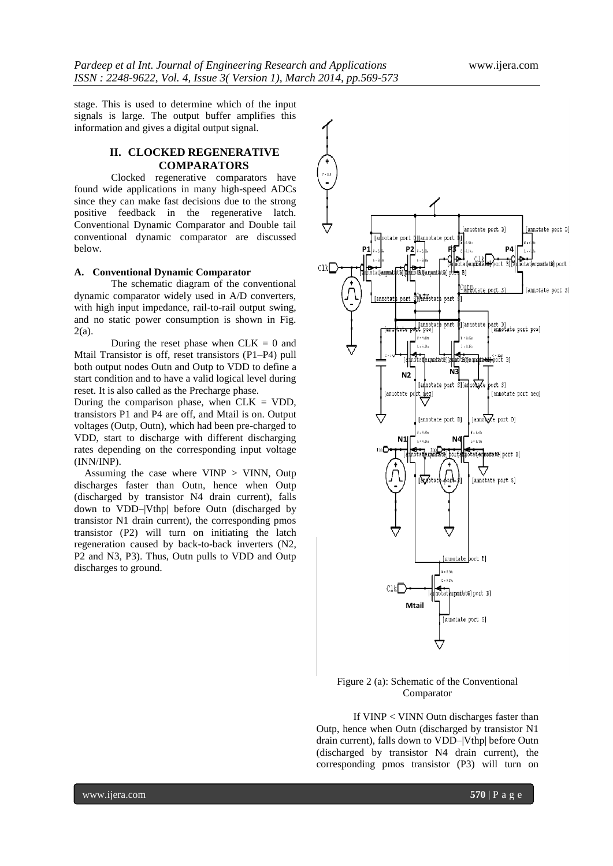stage. This is used to determine which of the input signals is large. The output buffer amplifies this information and gives a digital output signal.

## **II. CLOCKED REGENERATIVE COMPARATORS**

Clocked regenerative comparators have found wide applications in many high-speed ADCs since they can make fast decisions due to the strong positive feedback in the regenerative latch. Conventional Dynamic Comparator and Double tail conventional dynamic comparator are discussed below.

## **A. Conventional Dynamic Comparator**

The schematic diagram of the conventional dynamic comparator widely used in A/D converters, with high input impedance, rail-to-rail output swing, and no static power consumption is shown in Fig. 2(a).

During the reset phase when  $CLK = 0$  and Mtail Transistor is off, reset transistors (P1–P4) pull both output nodes Outn and Outp to VDD to define a start condition and to have a valid logical level during reset. It is also called as the Precharge phase.

During the comparison phase, when  $CLK = VDD$ , transistors P1 and P4 are off, and Mtail is on. Output voltages (Outp, Outn), which had been pre-charged to VDD, start to discharge with different discharging rates depending on the corresponding input voltage (INN/INP).

Assuming the case where VINP > VINN, Outp discharges faster than Outn, hence when Outp (discharged by transistor N4 drain current), falls down to VDD–|Vthp| before Outn (discharged by transistor N1 drain current), the corresponding pmos transistor (P2) will turn on initiating the latch regeneration caused by back-to-back inverters (N2, P2 and N3, P3). Thus, Outn pulls to VDD and Outp discharges to ground.



## Figure 2 (a): Schematic of the Conventional Comparator

If VINP < VINN Outn discharges faster than Outp, hence when Outn (discharged by transistor N1 drain current), falls down to VDD–|Vthp| before Outn (discharged by transistor N4 drain current), the corresponding pmos transistor (P3) will turn on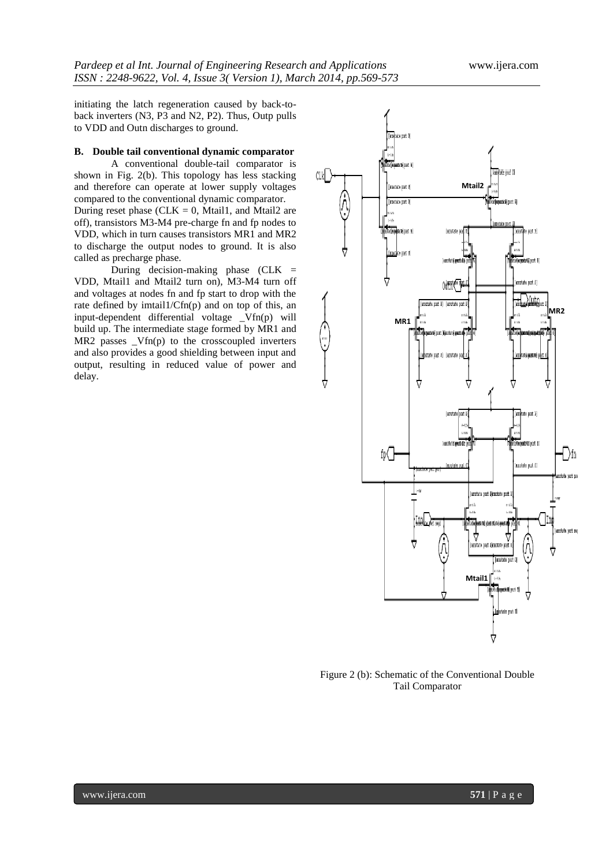initiating the latch regeneration caused by back-toback inverters (N3, P3 and N2, P2). Thus, Outp pulls to VDD and Outn discharges to ground.

## **B. Double tail conventional dynamic comparator**

A conventional double-tail comparator is shown in Fig. 2(b). This topology has less stacking and therefore can operate at lower supply voltages compared to the conventional dynamic comparator. During reset phase ( $CLK = 0$ , Mtail1, and Mtail2 are off), transistors M3-M4 pre-charge fn and fp nodes to VDD, which in turn causes transistors MR1 and MR2 to discharge the output nodes to ground. It is also called as precharge phase.

During decision-making phase  $(CLK =$ VDD, Mtail1 and Mtail2 turn on), M3-M4 turn off and voltages at nodes fn and fp start to drop with the rate defined by imtail $1/Cfn(p)$  and on top of this, an input-dependent differential voltage \_Vfn(p) will build up. The intermediate stage formed by MR1 and MR2 passes \_Vfn(p) to the crosscoupled inverters and also provides a good shielding between input and output, resulting in reduced value of power and delay.



Figure 2 (b): Schematic of the Conventional Double Tail Comparator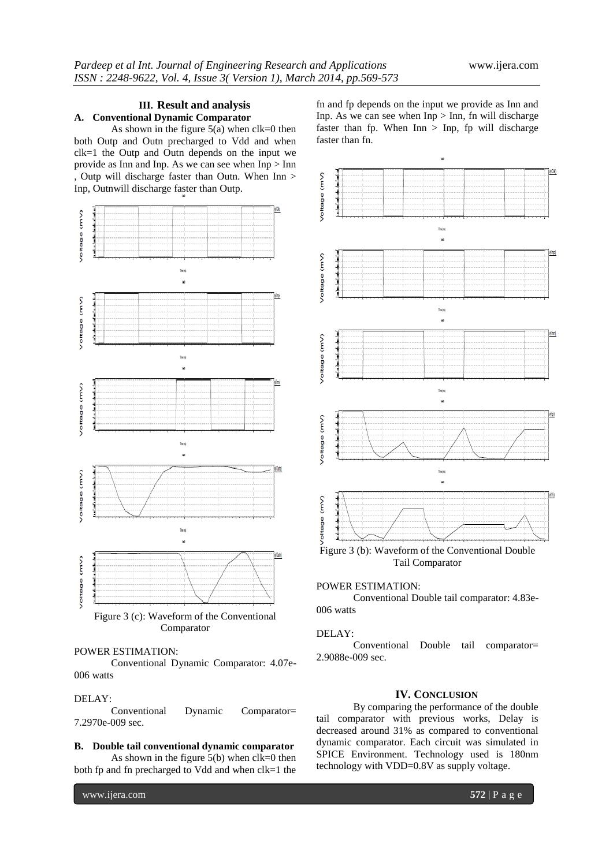## **III. Result and analysis A. Conventional Dynamic Comparator**

As shown in the figure  $5(a)$  when  $clk=0$  then both Outp and Outn precharged to Vdd and when clk=1 the Outp and Outn depends on the input we provide as Inn and Inp. As we can see when Inp > Inn , Outp will discharge faster than Outn. When Inn > Inp, Outnwill discharge faster than Outp.



Comparator

## POWER ESTIMATION:

Conventional Dynamic Comparator: 4.07e-006 watts

## DELAY:

Conventional Dynamic Comparator= 7.2970e-009 sec.

#### **B. Double tail conventional dynamic comparator**

As shown in the figure  $5(b)$  when  $clk=0$  then both fp and fn precharged to Vdd and when clk=1 the fn and fp depends on the input we provide as Inn and Inp. As we can see when Inp > Inn, fn will discharge faster than fp. When  $Inn > Inp$ , fp will discharge faster than fn.



Figure 3 (b): Waveform of the Conventional Double Tail Comparator

## POWER ESTIMATION:

Conventional Double tail comparator: 4.83e-006 watts

#### DELAY:

Conventional Double tail comparator= 2.9088e-009 sec.

## **IV. CONCLUSION**

By comparing the performance of the double tail comparator with previous works, Delay is decreased around 31% as compared to conventional dynamic comparator. Each circuit was simulated in SPICE Environment. Technology used is 180nm technology with VDD=0.8V as supply voltage.